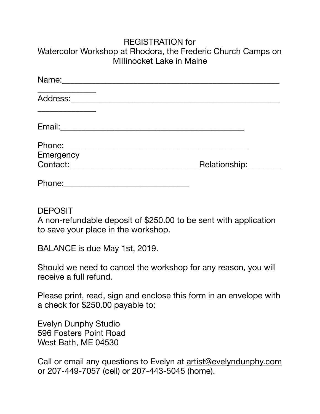## REGISTRATION for Watercolor Workshop at Rhodora, the Frederic Church Camps on Millinocket Lake in Maine

| Name:     |               |
|-----------|---------------|
| Address:  |               |
|           |               |
| Emergency |               |
| Contact:  | Relationship: |
| Phone:    |               |

## DEPOSIT

A non-refundable deposit of \$250.00 to be sent with application to save your place in the workshop.

BALANCE is due May 1st, 2019.

Should we need to cancel the workshop for any reason, you will receive a full refund.

Please print, read, sign and enclose this form in an envelope with a check for \$250.00 payable to:

Evelyn Dunphy Studio 596 Fosters Point Road West Bath, ME 04530

Call or email any questions to Evelyn at [artist@evelyndunphy.com](mailto:artist@evelyndunphy.com) or 207-449-7057 (cell) or 207-443-5045 (home).